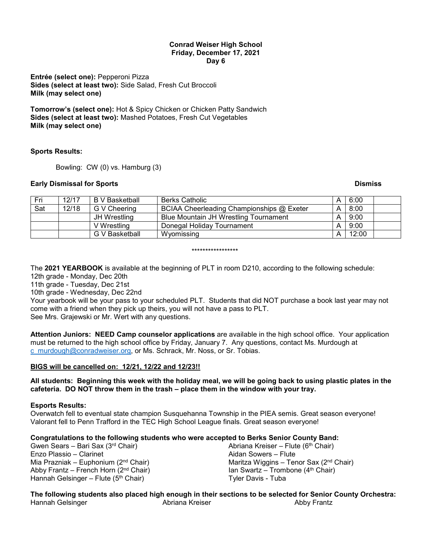## **Conrad Weiser High School Friday, December 17, 2021 Day 6**

**Entrée (select one):** Pepperoni Pizza **Sides (select at least two):** Side Salad, Fresh Cut Broccoli **Milk (may select one)**

**Tomorrow's (select one):** Hot & Spicy Chicken or Chicken Patty Sandwich **Sides (select at least two):** Mashed Potatoes, Fresh Cut Vegetables **Milk (may select one)**

# **Sports Results:**

Bowling: CW (0) vs. Hamburg (3)

# **Early Dismissal for Sports And American Security Construction Construction Construction Construction Construction Construction Construction Construction Construction Construction Construction Construction Construction Con**

| Fri | 12/17 | B V Basketball | <b>Berks Catholic</b>                     | 6:00  |  |
|-----|-------|----------------|-------------------------------------------|-------|--|
| Sat | 12/18 | G V Cheering   | BCIAA Cheerleading Championships @ Exeter | 8:00  |  |
|     |       | JH Wrestling   | Blue Mountain JH Wrestling Tournament     | 9:00  |  |
|     |       | V Wrestling    | Donegal Holiday Tournament                | 9:00  |  |
|     |       | G V Basketball | Wyomissing                                | 12:00 |  |

### \*\*\*\*\*\*\*\*\*\*\*\*\*\*\*\*\*

The **2021 YEARBOOK** is available at the beginning of PLT in room D210, according to the following schedule: 12th grade - Monday, Dec 20th

11th grade - Tuesday, Dec 21st

10th grade - Wednesday, Dec 22nd

Your yearbook will be your pass to your scheduled PLT. Students that did NOT purchase a book last year may not come with a friend when they pick up theirs, you will not have a pass to PLT. See Mrs. Grajewski or Mr. Wert with any questions.

**Attention Juniors: NEED Camp counselor applications** are available in the high school office. Your application must be returned to the high school office by Friday, January 7. Any questions, contact Ms. Murdough at [c\\_murdough@conradweiser.org,](mailto:c_murdough@conradweiser.org) or Ms. Schrack, Mr. Noss, or Sr. Tobias.

# **BIGS will be cancelled on: 12/21, 12/22 and 12/23!!**

**All students: Beginning this week with the holiday meal, we will be going back to using plastic plates in the cafeteria. DO NOT throw them in the trash – place them in the window with your tray.**

## **Esports Results:**

Overwatch fell to eventual state champion Susquehanna Township in the PIEA semis. Great season everyone! Valorant fell to Penn Trafford in the TEC High School League finals. Great season everyone!

# **Congratulations to the following students who were accepted to Berks Senior County Band:**

Gwen Sears – Bari Sax (3rd Chair) Enzo Plassio – Clarinet Mia Prazniak – Euphonium (2nd Chair) Abby Frantz – French Horn  $(2<sup>nd</sup> Chair)$ Hannah Gelsinger – Flute ( $5<sup>th</sup>$  Chair)

Abriana Kreiser – Flute ( $6<sup>th</sup>$  Chair) Aidan Sowers – Flute Maritza Wiggins – Tenor Sax (2nd Chair) Ian Swartz – Trombone  $(4<sup>th</sup> Chair)$ Tyler Davis - Tuba

**The following students also placed high enough in their sections to be selected for Senior County Orchestra:** Hannah Gelsinger Abriana Kreiser Abby Frantz